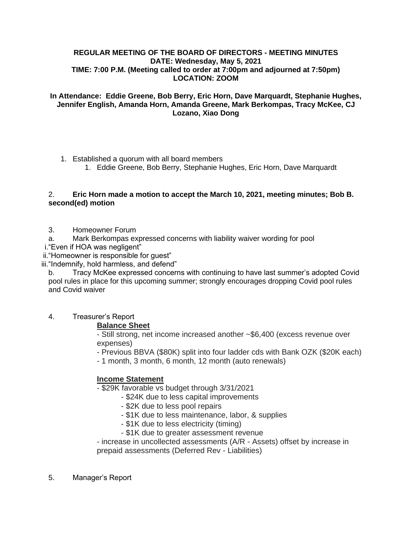#### **REGULAR MEETING OF THE BOARD OF DIRECTORS - MEETING MINUTES DATE: Wednesday, May 5, 2021 TIME: 7:00 P.M. (Meeting called to order at 7:00pm and adjourned at 7:50pm) LOCATION: ZOOM**

## **In Attendance: Eddie Greene, Bob Berry, Eric Horn, Dave Marquardt, Stephanie Hughes, Jennifer English, Amanda Horn, Amanda Greene, Mark Berkompas, Tracy McKee, CJ Lozano, Xiao Dong**

- 1. Established a quorum with all board members
	- 1. Eddie Greene, Bob Berry, Stephanie Hughes, Eric Horn, Dave Marquardt

## 2. **Eric Horn made a motion to accept the March 10, 2021, meeting minutes; Bob B. second(ed) motion**

- 3. Homeowner Forum
- a. Mark Berkompas expressed concerns with liability waiver wording for pool
- i."Even if HOA was negligent"

ii."Homeowner is responsible for guest"

iii."Indemnify, hold harmless, and defend"

b. Tracy McKee expressed concerns with continuing to have last summer's adopted Covid pool rules in place for this upcoming summer; strongly encourages dropping Covid pool rules and Covid waiver

4. Treasurer's Report

## **Balance Sheet**

- Still strong, net income increased another ~\$6,400 (excess revenue over expenses)

- Previous BBVA (\$80K) split into four ladder cds with Bank OZK (\$20K each)

- 1 month, 3 month, 6 month, 12 month (auto renewals)

# **Income Statement**

- \$29K favorable vs budget through 3/31/2021
	- \$24K due to less capital improvements
	- \$2K due to less pool repairs
	- \$1K due to less maintenance, labor, & supplies
	- \$1K due to less electricity (timing)
	- \$1K due to greater assessment revenue

- increase in uncollected assessments (A/R - Assets) offset by increase in prepaid assessments (Deferred Rev - Liabilities)

5. Manager's Report